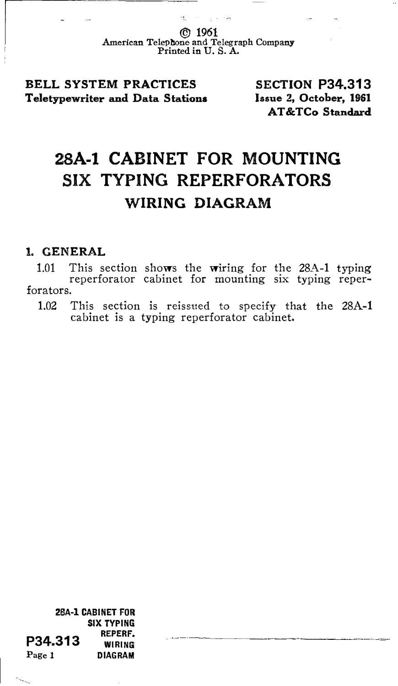© <sup>1961</sup> American Telephone and Telegraph Company Printed in U.S. A.

and the

BELL SYSTEM PRACTICES Teletypewriter and Data Stations

SECTION P34.313 Issue 2, October, 1961 AT&TCo Standard

## 28A-1 CABINET FOR MOUNTING SIX TYPING REPERFORATORS WIRING DIAGRAM

## 1. GENERAL

1.01 This section shows the wuring for the 28A-1 typing reper-<br>reperforator cabinet for mounting six typing reperforators.

1.02 This section is reissued to specify that the 28A-1 cabinet is a typing reperforator cabinet.

2BA-l CABINET FOR SIX TYPING P34.313 REPERF. WIRING Page 1 DIAGRAM

s.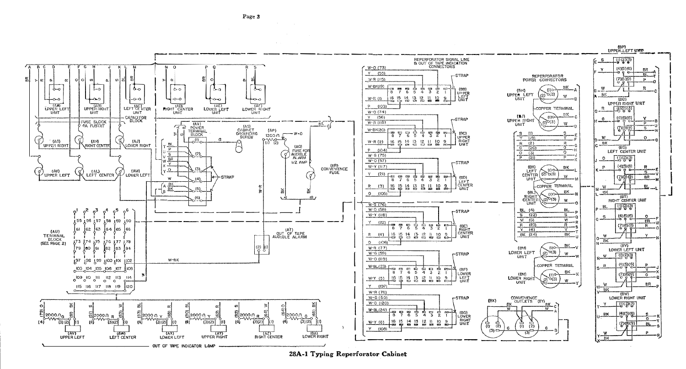

28A-1 Typing Reperforator Cabinet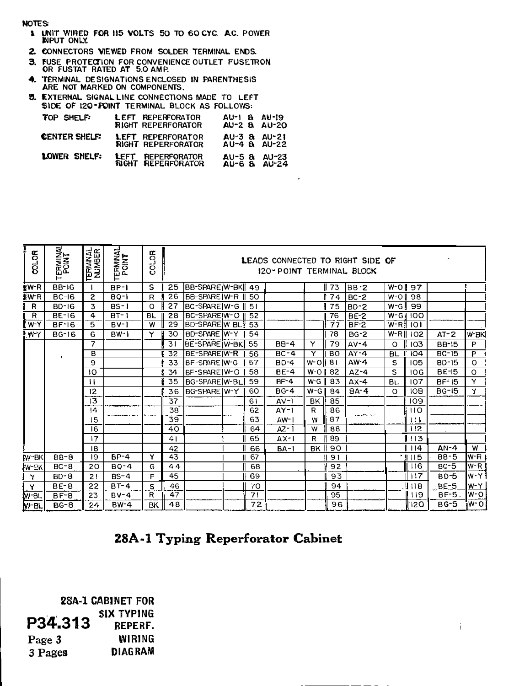## MOTES:

- & UNIT WIRED FOR 115 VOLTS 50 TO 60 CYC. A.C. POWER
- 2. CONNECTORS VIEWED FROM SOLDER TERMINAL ENDS.
- 3. FUSE PROTECTION FOR CONVENIENCE OUTLET FUSETRON OR FUSTAT RATED AT 5.0 AMP.
- 4. TERMINAL DESIGNATIONS ENCLOSED IN PARENTHESIS ARE NOT MARKED ON COMPONENTS.
- 8. EXTERNAL SIGNAL LINE CONNECTIONS MADE TO LEFT SIDE OF 120-POINT TERMINAL BLOCK AS FOLLOWS:

| TOP SHELF:   | <b>LEFT REPERFORATOR</b><br><b>RIGHT REPERFORATOR</b>        | $AU-1$ a $AU-19$<br>AU-2 8 AU-20 |  |
|--------------|--------------------------------------------------------------|----------------------------------|--|
| CENTER SHELF | LEFT REPERFORATOR<br><b>RIGHT REPERFORATOR</b>               | AU-3 & AU-21<br>$AD-4BAD-22$     |  |
| LOWER SHELF: | <b>REPERFORATOR</b><br>LFFT<br><b>FILGHT</b><br>REPERFORATOR | AU-5 & AU-23<br>AU-6 & AU-24     |  |

| <b>COLOR</b>   | ERMINAL<br>POINT<br>ь. | <b>TERMINAL</b><br>NUMBER | <b>ERMINAL</b><br>POINT | COLOR    | LEADS CONNECTED TO RIGHT SIDE OF<br>120-POINT TERMINAL BLOCK |                       |  |    |             |             |                |             |                       |           |              |          |
|----------------|------------------------|---------------------------|-------------------------|----------|--------------------------------------------------------------|-----------------------|--|----|-------------|-------------|----------------|-------------|-----------------------|-----------|--------------|----------|
| <b>∄W-R</b>    | BB-16                  |                           | $BP-1$                  | s        | 25                                                           | <b>BB-SPARE W-BKI</b> |  | 49 |             |             | II 73          | <b>BB</b> 2 | W-0197                |           |              |          |
| ≸WR            | $BC=16$                | 2                         | 80-l                    | R        | 26                                                           | BB-SPARE W-R   50     |  |    |             |             | ll 74          | $BC-2$      | $W$ -0 $\parallel$ 98 |           |              |          |
| R              | BD-16                  | 3                         | $BS-1$                  | $\Omega$ | 27                                                           | BC-SPARE W-G   51     |  |    |             |             | 75             | BD-2        | w-cl 99               |           |              |          |
| $\overline{R}$ | <b>BE-16</b>           | 4                         | $BT-1$                  | BL.      | 28                                                           | BC-SPARE W-O   52     |  |    |             |             | 76             | <b>BE-2</b> |                       | $W-G$ 100 |              |          |
| l w∙Y          | <b>BF-16</b>           | 5                         | BV-1                    | W        | 29                                                           | BD-SPARE W-BL 53      |  |    |             |             | 77             | $BF-2$      | $W-R$ $101$           |           |              |          |
| I WY           | BG-16                  | 6                         | BW-I                    | Y        | 30                                                           | BD-SPARE W-Y   54     |  |    |             |             | 78             | $BG-2$      |                       | W-R 102   | $AT-2$       | W-BK     |
|                |                        | 7                         |                         |          | 31                                                           | BE-SPARE W-BK 55      |  |    | <b>BB-4</b> | Y           | 79             | $AV-4$      | O                     | 103       | BB-15        | P        |
|                |                        | B                         |                         |          | 32                                                           | BE-SPARE W-R   56     |  |    | $BC-4$      | Ÿ           | B <sub>0</sub> | $AY - 4$    | <b>BL</b>             | 104       | $BC-15$      | P        |
|                |                        | 9                         |                         |          | 33                                                           | BF-SPARE W-G   57     |  |    | $BD-4$      | w-olisi     |                | $AW-4$      | s                     | 105       | <b>BD-15</b> | $\Omega$ |
|                |                        | 10                        |                         |          | 34                                                           | BF-SPARE W-OL 58      |  |    | <b>BE-4</b> | $W$ -OII 82 |                | $AZ - 4$    | s                     | 106       | <b>BE-15</b> | $\Omega$ |
|                |                        | и                         |                         |          | 35                                                           | BG-SPARE W-BL 59      |  |    | $RF-4$      | W G    83   |                | $AX - 4$    | BL.                   | 107       | BF-15        | Ÿ        |
|                |                        | 12                        |                         |          | 36                                                           | BG-SPARE W-Y II       |  | 60 | $BG-4$      | $W-G$       | 84             | $BA-4$      | $\Omega$              | 108       | <b>BG-15</b> | Y        |
|                |                        | 13                        |                         |          | 37                                                           |                       |  | 61 | $AV=1$      | BK          | 85             |             |                       | 109       |              |          |
|                |                        | $\overline{14}$           |                         |          | 38                                                           |                       |  | 62 | $AY=1$      | R           | 86             |             |                       | 110       |              |          |
|                |                        | 15                        |                         |          | 39                                                           |                       |  | 63 | AW-I        | W           | 87             |             |                       | 111       |              |          |
|                |                        | 16                        |                         |          | 40                                                           |                       |  | 64 | AZ-1        | W           | 88             |             |                       | 112       |              |          |
|                |                        | 17                        |                         |          | 41                                                           |                       |  | 65 | $AX - I$    | R           | 89             |             |                       | 113       |              |          |
|                |                        | 18                        |                         |          | 42                                                           |                       |  | 66 | <b>BA-1</b> | BK I        | 90             |             |                       | 114       | $AN-4$       | w        |
| IW-BK          | $BB - 8$               | 19                        | $BP-4$                  | Y        | 43                                                           |                       |  | 67 |             |             | 191            |             |                       | 8115      | $BB - 5$     | W-R      |
| ∤w-BK          | $BC-8$                 | 20                        | $BO - 4$                | G        | 44                                                           |                       |  | 68 |             |             | 92             |             |                       | 116       | $BC-5$       | W-R      |
| Y              | $BD - 8$               | 21                        | $BS-4$                  | P        | 45                                                           |                       |  | 69 |             |             | 93             |             |                       | 117       | <b>BD-5</b>  | W-Y      |
| Y              | BE-B                   | 22                        | $RT-4$                  | s        | 46                                                           |                       |  | 70 |             |             | 94             |             |                       | 11B       | <b>BE-5</b>  | W-Y      |
| BW-BL          | BF-B                   | 23                        | $BV-4$                  | R        | 47                                                           |                       |  | 71 |             |             | 95             |             |                       | 119       | $BF-5$       | $W$ -O   |
| <b>M-BL</b>    | <b>BG-8</b>            | 24                        | <b>BW-4</b>             | BK       | 48                                                           |                       |  | 72 |             |             | 96             |             |                       | 120       | <b>BG-5</b>  | w-o      |

Ÿ

## 28A-1 Typing Reperforator Cabinet

28A-1 CABINET FOR **SIX TYPING** P34.313 REPERF. Page 3 WIRING 3 Pages **DIAGRAM**